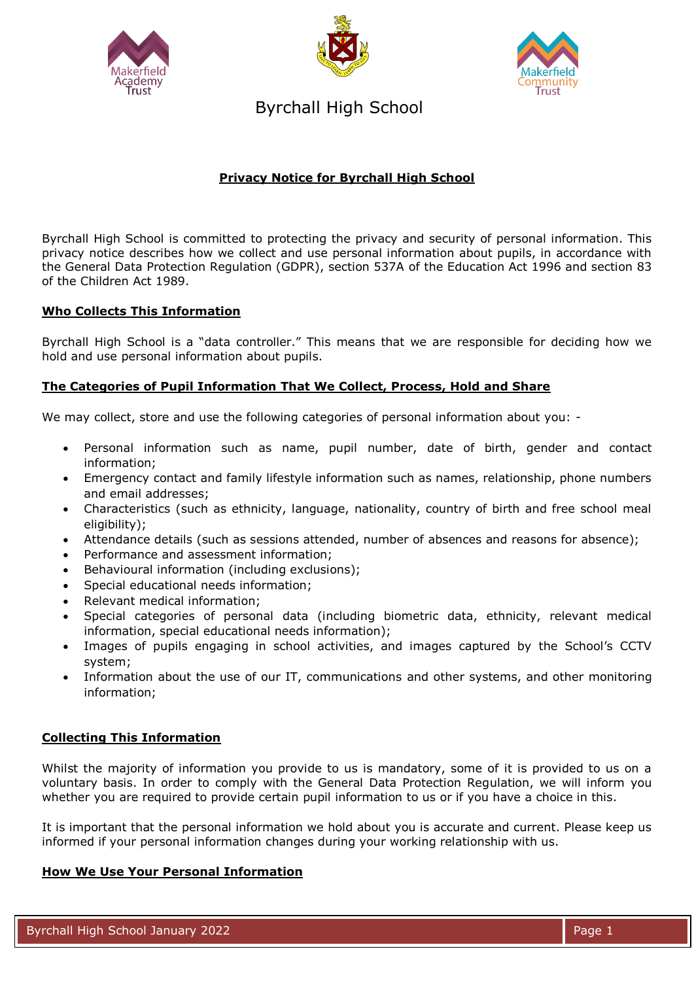





Byrchall High School

# **Privacy Notice for Byrchall High School**

Byrchall High School is committed to protecting the privacy and security of personal information. This privacy notice describes how we collect and use personal information about pupils, in accordance with the General Data Protection Regulation (GDPR), section 537A of the Education Act 1996 and section 83 of the Children Act 1989.

## **Who Collects This Information**

Byrchall High School is a "data controller." This means that we are responsible for deciding how we hold and use personal information about pupils.

## **The Categories of Pupil Information That We Collect, Process, Hold and Share**

We may collect, store and use the following categories of personal information about you: -

- Personal information such as name, pupil number, date of birth, gender and contact information;
- Emergency contact and family lifestyle information such as names, relationship, phone numbers and email addresses;
- Characteristics (such as ethnicity, language, nationality, country of birth and free school meal eligibility);
- Attendance details (such as sessions attended, number of absences and reasons for absence);
- Performance and assessment information;
- Behavioural information (including exclusions);
- Special educational needs information;
- Relevant medical information;
- Special categories of personal data (including biometric data, ethnicity, relevant medical information, special educational needs information);
- Images of pupils engaging in school activities, and images captured by the School's CCTV system;
- Information about the use of our IT, communications and other systems, and other monitoring information;

## **Collecting This Information**

Whilst the majority of information you provide to us is mandatory, some of it is provided to us on a voluntary basis. In order to comply with the General Data Protection Regulation, we will inform you whether you are required to provide certain pupil information to us or if you have a choice in this.

It is important that the personal information we hold about you is accurate and current. Please keep us informed if your personal information changes during your working relationship with us.

## **How We Use Your Personal Information**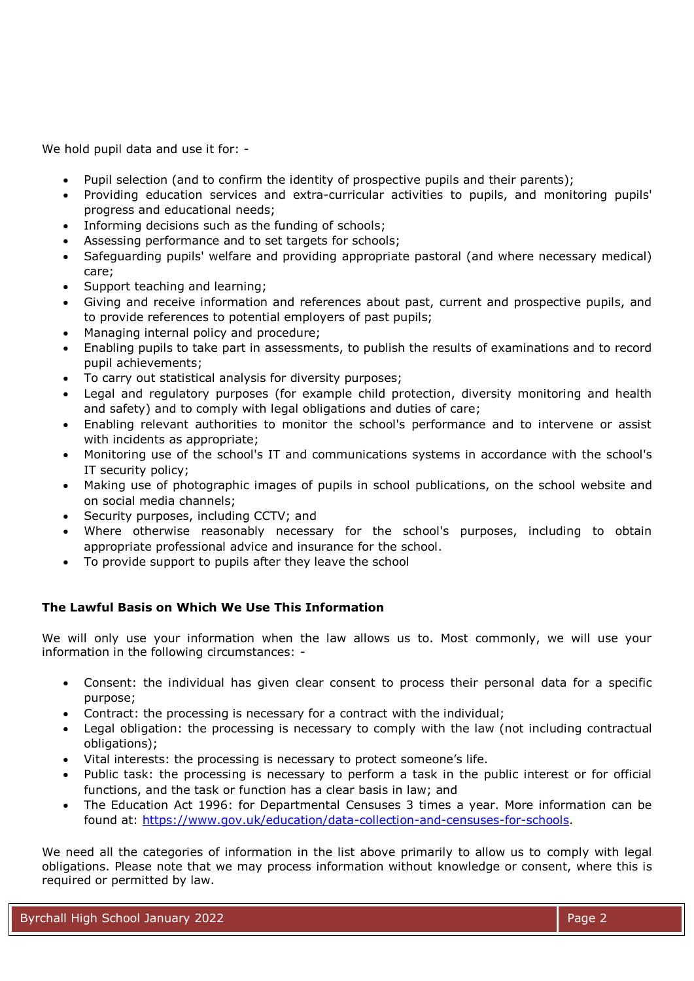We hold pupil data and use it for: -

- Pupil selection (and to confirm the identity of prospective pupils and their parents);
- Providing education services and extra-curricular activities to pupils, and monitoring pupils' progress and educational needs;
- Informing decisions such as the funding of schools:
- Assessing performance and to set targets for schools;
- Safeguarding pupils' welfare and providing appropriate pastoral (and where necessary medical) care;
- Support teaching and learning;
- Giving and receive information and references about past, current and prospective pupils, and to provide references to potential employers of past pupils;
- Managing internal policy and procedure;
- Enabling pupils to take part in assessments, to publish the results of examinations and to record pupil achievements;
- To carry out statistical analysis for diversity purposes;
- Legal and regulatory purposes (for example child protection, diversity monitoring and health and safety) and to comply with legal obligations and duties of care;
- Enabling relevant authorities to monitor the school's performance and to intervene or assist with incidents as appropriate;
- Monitoring use of the school's IT and communications systems in accordance with the school's IT security policy;
- Making use of photographic images of pupils in school publications, on the school website and on social media channels;
- Security purposes, including CCTV; and
- Where otherwise reasonably necessary for the school's purposes, including to obtain appropriate professional advice and insurance for the school.
- To provide support to pupils after they leave the school

# **The Lawful Basis on Which We Use This Information**

We will only use your information when the law allows us to. Most commonly, we will use your information in the following circumstances: -

- Consent: the individual has given clear consent to process their personal data for a specific purpose;
- Contract: the processing is necessary for a contract with the individual;
- Legal obligation: the processing is necessary to comply with the law (not including contractual obligations);
- Vital interests: the processing is necessary to protect someone's life.
- Public task: the processing is necessary to perform a task in the public interest or for official functions, and the task or function has a clear basis in law; and
- The Education Act 1996: for Departmental Censuses 3 times a year. More information can be found at: [https://www.gov.uk/education/data-collection-and-censuses-for-schools.](https://www.gov.uk/education/data-collection-and-censuses-for-schools)

We need all the categories of information in the list above primarily to allow us to comply with legal obligations. Please note that we may process information without knowledge or consent, where this is required or permitted by law.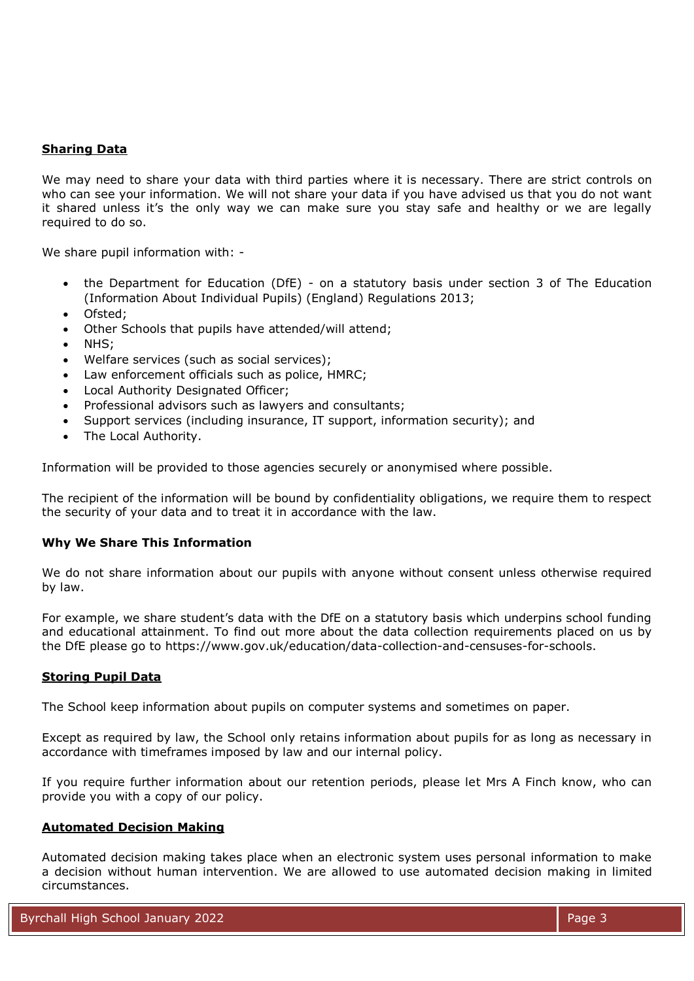## **Sharing Data**

We may need to share your data with third parties where it is necessary. There are strict controls on who can see your information. We will not share your data if you have advised us that you do not want it shared unless it's the only way we can make sure you stay safe and healthy or we are legally required to do so.

We share pupil information with: -

- the Department for Education (DfE) on a statutory basis under section 3 of The Education (Information About Individual Pupils) (England) Regulations 2013;
- Ofsted;
- Other Schools that pupils have attended/will attend;
- NHS;
- Welfare services (such as social services);
- Law enforcement officials such as police, HMRC;
- Local Authority Designated Officer;
- Professional advisors such as lawyers and consultants;
- Support services (including insurance, IT support, information security); and
- The Local Authority.

Information will be provided to those agencies securely or anonymised where possible.

The recipient of the information will be bound by confidentiality obligations, we require them to respect the security of your data and to treat it in accordance with the law.

### **Why We Share This Information**

We do not share information about our pupils with anyone without consent unless otherwise required by law.

For example, we share student's data with the DfE on a statutory basis which underpins school funding and educational attainment. To find out more about the data collection requirements placed on us by the DfE please go to https://www.gov.uk/education/data-collection-and-censuses-for-schools.

### **Storing Pupil Data**

The School keep information about pupils on computer systems and sometimes on paper.

Except as required by law, the School only retains information about pupils for as long as necessary in accordance with timeframes imposed by law and our internal policy.

If you require further information about our retention periods, please let Mrs A Finch know, who can provide you with a copy of our policy.

#### **Automated Decision Making**

Automated decision making takes place when an electronic system uses personal information to make a decision without human intervention. We are allowed to use automated decision making in limited circumstances.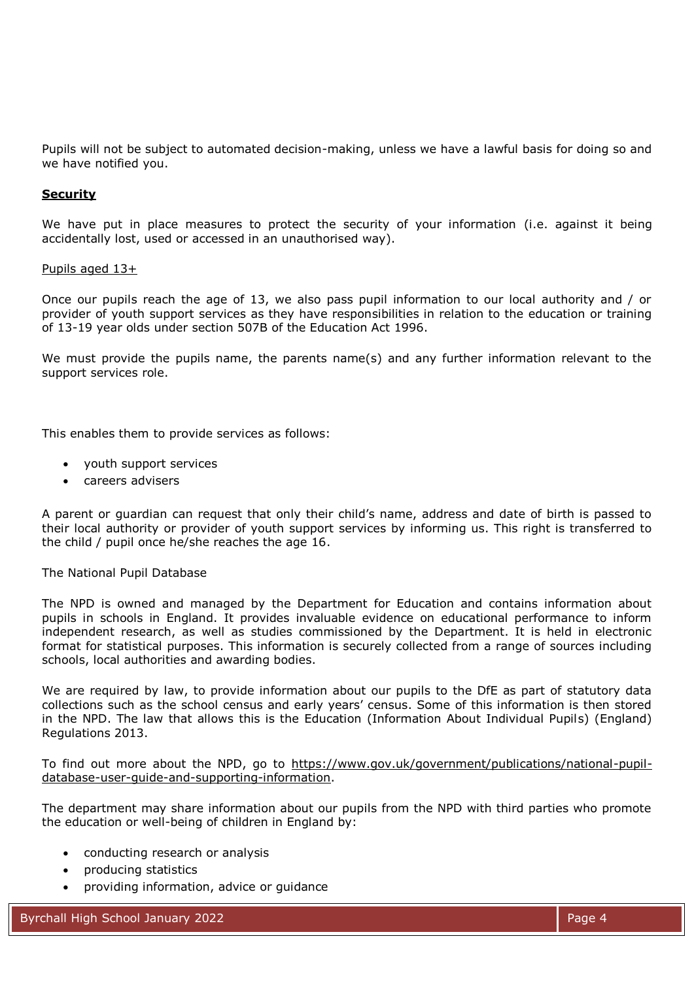Pupils will not be subject to automated decision-making, unless we have a lawful basis for doing so and we have notified you.

### **Security**

We have put in place measures to protect the security of your information (i.e. against it being accidentally lost, used or accessed in an unauthorised way).

#### Pupils aged 13+

Once our pupils reach the age of 13, we also pass pupil information to our local authority and / or provider of youth support services as they have responsibilities in relation to the education or training of 13-19 year olds under section 507B of the Education Act 1996.

We must provide the pupils name, the parents name(s) and any further information relevant to the support services role.

This enables them to provide services as follows:

- youth support services
- careers advisers

A parent or guardian can request that only their child's name, address and date of birth is passed to their local authority or provider of youth support services by informing us. This right is transferred to the child / pupil once he/she reaches the age 16.

#### The National Pupil Database

The NPD is owned and managed by the Department for Education and contains information about pupils in schools in England. It provides invaluable evidence on educational performance to inform independent research, as well as studies commissioned by the Department. It is held in electronic format for statistical purposes. This information is securely collected from a range of sources including schools, local authorities and awarding bodies.

We are required by law, to provide information about our pupils to the DfE as part of statutory data collections such as the school census and early years' census. Some of this information is then stored in the NPD. The law that allows this is the Education (Information About Individual Pupils) (England) Regulations 2013.

To find out more about the NPD, go to [https://www.gov.uk/government/publications/national-pupil](https://www.gov.uk/government/publications/national-pupil-database-user-guide-and-supporting-information)[database-user-guide-and-supporting-information.](https://www.gov.uk/government/publications/national-pupil-database-user-guide-and-supporting-information)

The department may share information about our pupils from the NPD with third parties who promote the education or well-being of children in England by:

- conducting research or analysis
- producing statistics
- providing information, advice or guidance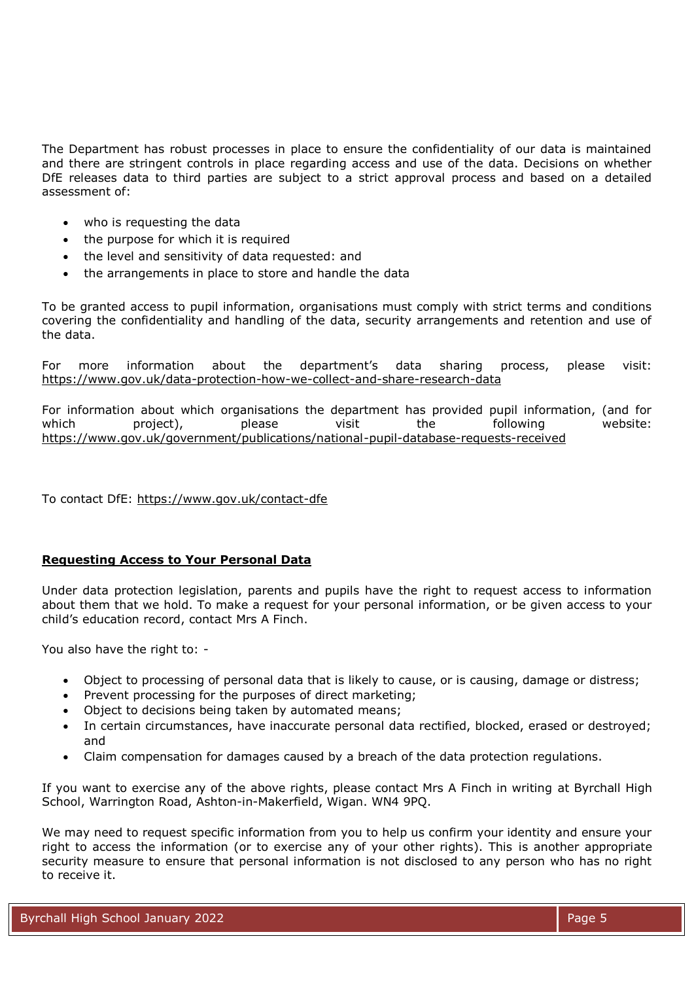The Department has robust processes in place to ensure the confidentiality of our data is maintained and there are stringent controls in place regarding access and use of the data. Decisions on whether DfE releases data to third parties are subject to a strict approval process and based on a detailed assessment of:

- who is requesting the data
- the purpose for which it is required
- the level and sensitivity of data requested: and
- the arrangements in place to store and handle the data

To be granted access to pupil information, organisations must comply with strict terms and conditions covering the confidentiality and handling of the data, security arrangements and retention and use of the data.

For more information about the department's data sharing process, please visit: <https://www.gov.uk/data-protection-how-we-collect-and-share-research-data>

For information about which organisations the department has provided pupil information, (and for which project), please visit the following website: <https://www.gov.uk/government/publications/national-pupil-database-requests-received>

To contact DfE:<https://www.gov.uk/contact-dfe>

## **Requesting Access to Your Personal Data**

Under data protection legislation, parents and pupils have the right to request access to information about them that we hold. To make a request for your personal information, or be given access to your child's education record, contact Mrs A Finch.

You also have the right to: -

- Object to processing of personal data that is likely to cause, or is causing, damage or distress;
- Prevent processing for the purposes of direct marketing;
- Object to decisions being taken by automated means;
- In certain circumstances, have inaccurate personal data rectified, blocked, erased or destroyed; and
- Claim compensation for damages caused by a breach of the data protection regulations.

If you want to exercise any of the above rights, please contact Mrs A Finch in writing at Byrchall High School, Warrington Road, Ashton-in-Makerfield, Wigan. WN4 9PQ.

We may need to request specific information from you to help us confirm your identity and ensure your right to access the information (or to exercise any of your other rights). This is another appropriate security measure to ensure that personal information is not disclosed to any person who has no right to receive it.